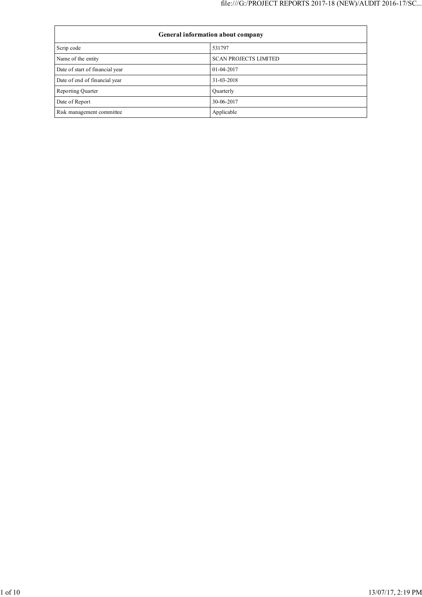| General information about company |                              |  |  |  |
|-----------------------------------|------------------------------|--|--|--|
| Scrip code                        | 531797                       |  |  |  |
| Name of the entity                | <b>SCAN PROJECTS LIMITED</b> |  |  |  |
| Date of start of financial year   | 01-04-2017                   |  |  |  |
| Date of end of financial year     | 31-03-2018                   |  |  |  |
| <b>Reporting Quarter</b>          | Quarterly                    |  |  |  |
| Date of Report                    | 30-06-2017                   |  |  |  |
| Risk management committee         | Applicable                   |  |  |  |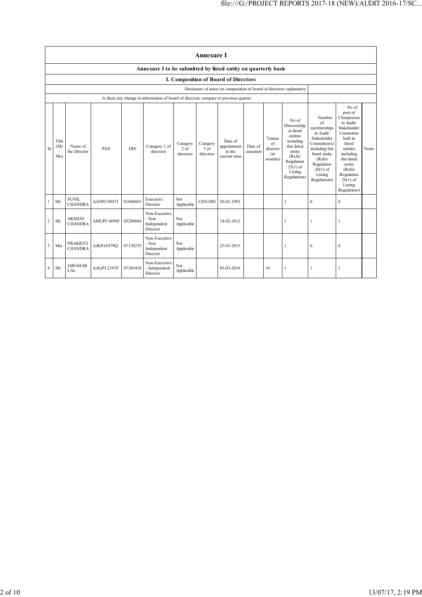|           | <b>Annexure I</b>                                                    |                                   |            |            |                                                                                      |                               |                                 |                                                  |                      |                                            |                                                                                                                                                       |                                                                                                                                                                             |                                                                                                                                                                                                                  |       |
|-----------|----------------------------------------------------------------------|-----------------------------------|------------|------------|--------------------------------------------------------------------------------------|-------------------------------|---------------------------------|--------------------------------------------------|----------------------|--------------------------------------------|-------------------------------------------------------------------------------------------------------------------------------------------------------|-----------------------------------------------------------------------------------------------------------------------------------------------------------------------------|------------------------------------------------------------------------------------------------------------------------------------------------------------------------------------------------------------------|-------|
|           | Annexure I to be submitted by listed entity on quarterly basis       |                                   |            |            |                                                                                      |                               |                                 |                                                  |                      |                                            |                                                                                                                                                       |                                                                                                                                                                             |                                                                                                                                                                                                                  |       |
|           | I. Composition of Board of Directors                                 |                                   |            |            |                                                                                      |                               |                                 |                                                  |                      |                                            |                                                                                                                                                       |                                                                                                                                                                             |                                                                                                                                                                                                                  |       |
|           | Disclosure of notes on composition of board of directors explanatory |                                   |            |            |                                                                                      |                               |                                 |                                                  |                      |                                            |                                                                                                                                                       |                                                                                                                                                                             |                                                                                                                                                                                                                  |       |
|           |                                                                      |                                   |            |            | Is there any change in information of board of directors compare to previous quarter |                               |                                 |                                                  |                      |                                            |                                                                                                                                                       |                                                                                                                                                                             |                                                                                                                                                                                                                  |       |
| <b>Sr</b> | Title<br>(Mr)<br>Ms)                                                 | Name of<br>the Director           | PAN        | <b>DIN</b> | Category 1 of<br>directors                                                           | Category<br>2 of<br>directors | Category<br>$3$ of<br>directors | Date of<br>appointment<br>in the<br>current term | Date of<br>cessation | Tenure<br>of<br>director<br>(in<br>months) | No of<br>Directorship<br>in listed<br>entities<br>including<br>this listed<br>entity<br>(Refer<br>Regulation<br>$25(1)$ of<br>Listing<br>Regulations) | Number<br>of<br>memberships<br>in Audit/<br>Stakeholder<br>Committee(s)<br>including this<br>listed entity<br>(Refer<br>Regulation<br>$26(1)$ of<br>Listing<br>Regulations) | No of<br>post of<br>Chairperson<br>in Audit/<br>Stakeholder<br>Committee<br>held in<br>listed<br>entities<br>including<br>this listed<br>entity<br>(Refer<br>Regulation<br>$26(1)$ of<br>Listing<br>Regulations) | Notes |
| 1         | Mr                                                                   | <b>SUNIL</b><br><b>CHANDRA</b>    | AANPC8847J | 01066065   | Executive<br>Director                                                                | Not<br>Applicable             | CEO-MD                          | 20-02-1992                                       |                      |                                            | 1                                                                                                                                                     | $\mathbf{0}$                                                                                                                                                                | $\mathbf{0}$                                                                                                                                                                                                     |       |
| 2         | Mr                                                                   | <b>AKSHAY</b><br><b>CHANDRA</b>   | AMUPC4899F | 05208884   | Non-Executive<br>- Non<br>Independent<br>Director                                    | Not<br>Applicable             |                                 | 14-02-2012                                       |                      |                                            |                                                                                                                                                       | 1                                                                                                                                                                           | 1                                                                                                                                                                                                                |       |
| 3         | Mrs                                                                  | <b>PRAKRITI</b><br><b>CHANDRA</b> | AJKPA5479O | 07138255   | Non-Executive<br>- Non<br>Independent<br>Director                                    | Not<br>Applicable             |                                 | 25-03-2015                                       |                      |                                            |                                                                                                                                                       | $\boldsymbol{0}$                                                                                                                                                            | $\mathbf{0}$                                                                                                                                                                                                     |       |
| 4         | Mr                                                                   | <b>JAWAHAR</b><br>LAL             | AAGPL2191P | 07385438   | Non-Executive<br>- Independent<br>Director                                           | Not<br>Applicable             |                                 | 05-03-2016                                       |                      | 16                                         |                                                                                                                                                       |                                                                                                                                                                             | ı                                                                                                                                                                                                                |       |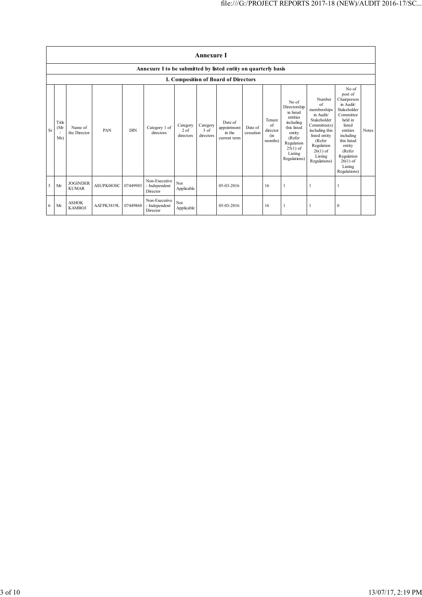| <b>Annexure I</b> |                     |                                 |            |            |                                                                |                                 |                                 |                                                  |                      |                                                    |                                                                                                                                                       |                                                                                                                                                                             |                                                                                                                                                                                                                  |              |
|-------------------|---------------------|---------------------------------|------------|------------|----------------------------------------------------------------|---------------------------------|---------------------------------|--------------------------------------------------|----------------------|----------------------------------------------------|-------------------------------------------------------------------------------------------------------------------------------------------------------|-----------------------------------------------------------------------------------------------------------------------------------------------------------------------------|------------------------------------------------------------------------------------------------------------------------------------------------------------------------------------------------------------------|--------------|
|                   |                     |                                 |            |            | Annexure I to be submitted by listed entity on quarterly basis |                                 |                                 |                                                  |                      |                                                    |                                                                                                                                                       |                                                                                                                                                                             |                                                                                                                                                                                                                  |              |
|                   |                     |                                 |            |            |                                                                |                                 |                                 | I. Composition of Board of Directors             |                      |                                                    |                                                                                                                                                       |                                                                                                                                                                             |                                                                                                                                                                                                                  |              |
| <b>Sr</b>         | Title<br>(Mr<br>Ms) | Name of<br>the Director         | PAN        | <b>DIN</b> | Category 1 of<br>directors                                     | Category<br>$2$ of<br>directors | Category<br>$3$ of<br>directors | Date of<br>appointment<br>in the<br>current term | Date of<br>cessation | Tenure<br>$\alpha$ f<br>director<br>(in<br>months) | No of<br>Directorship<br>in listed<br>entities<br>including<br>this listed<br>entity<br>(Refer<br>Regulation<br>$25(1)$ of<br>Listing<br>Regulations) | Number<br>of<br>memberships<br>in Audit/<br>Stakeholder<br>Committee(s)<br>including this<br>listed entity<br>(Refer<br>Regulation<br>$26(1)$ of<br>Listing<br>Regulations) | No of<br>post of<br>Chairperson<br>in Audit/<br>Stakeholder<br>Committee<br>held in<br>listed<br>entities<br>including<br>this listed<br>entity<br>(Refer<br>Regulation<br>$26(1)$ of<br>Listing<br>Regulations) | <b>Notes</b> |
| 5                 | Mr                  | <b>JOGINDER</b><br><b>KUMAR</b> | ASUPK0830C | 07449985   | Non-Executive<br>- Independent<br>Director                     | Not<br>Applicable               |                                 | 05-03-2016                                       |                      | 16                                                 | 1                                                                                                                                                     |                                                                                                                                                                             |                                                                                                                                                                                                                  |              |
| 6                 | Mr                  | <b>ASHOK</b><br><b>KAMBOJ</b>   | AATPK3819L | 07449868   | Non-Executive<br>- Independent<br>Director                     | Not<br>Applicable               |                                 | 05-03-2016                                       |                      | 16                                                 | 1                                                                                                                                                     |                                                                                                                                                                             | $\theta$                                                                                                                                                                                                         |              |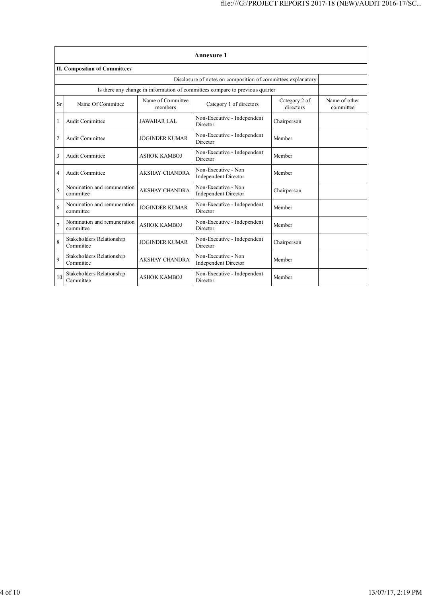|                | <b>Annexure 1</b>                                                            |                              |                                                    |                            |                            |  |  |  |  |  |
|----------------|------------------------------------------------------------------------------|------------------------------|----------------------------------------------------|----------------------------|----------------------------|--|--|--|--|--|
|                | <b>II. Composition of Committees</b>                                         |                              |                                                    |                            |                            |  |  |  |  |  |
|                | Disclosure of notes on composition of committees explanatory                 |                              |                                                    |                            |                            |  |  |  |  |  |
|                | Is there any change in information of committees compare to previous quarter |                              |                                                    |                            |                            |  |  |  |  |  |
| <b>Sr</b>      | Name Of Committee                                                            | Name of Committee<br>members | Category 1 of directors                            | Category 2 of<br>directors | Name of other<br>committee |  |  |  |  |  |
| 1              | <b>Audit Committee</b>                                                       | <b>JAWAHAR LAL</b>           | Non-Executive - Independent<br>Director            | Chairperson                |                            |  |  |  |  |  |
| $\overline{c}$ | <b>Audit Committee</b>                                                       | <b>JOGINDER KUMAR</b>        | Non-Executive - Independent<br>Director            | Member                     |                            |  |  |  |  |  |
| 3              | Audit Committee                                                              | <b>ASHOK KAMBOJ</b>          | Non-Executive - Independent<br>Director            | Member                     |                            |  |  |  |  |  |
| 4              | <b>Audit Committee</b>                                                       | <b>AKSHAY CHANDRA</b>        | Non-Executive - Non<br><b>Independent Director</b> | Member                     |                            |  |  |  |  |  |
| 5              | Nomination and remuneration<br>committee                                     | <b>AKSHAY CHANDRA</b>        | Non-Executive - Non<br>Independent Director        | Chairperson                |                            |  |  |  |  |  |
| 6              | Nomination and remuneration<br>committee                                     | <b>JOGINDER KUMAR</b>        | Non-Executive - Independent<br>Director            | Member                     |                            |  |  |  |  |  |
| 7              | Nomination and remuneration<br>committee                                     | <b>ASHOK KAMBOJ</b>          | Non-Executive - Independent<br>Director            | Member                     |                            |  |  |  |  |  |
| 8              | Stakeholders Relationship<br>Committee                                       | <b>JOGINDER KUMAR</b>        | Non-Executive - Independent<br>Director            | Chairperson                |                            |  |  |  |  |  |
| 9              | Stakeholders Relationship<br>Committee                                       | <b>AKSHAY CHANDRA</b>        | Non-Executive - Non<br><b>Independent Director</b> | Member                     |                            |  |  |  |  |  |
| 10             | Stakeholders Relationship<br>Committee                                       | <b>ASHOK KAMBOJ</b>          | Non-Executive - Independent<br>Director            | Member                     |                            |  |  |  |  |  |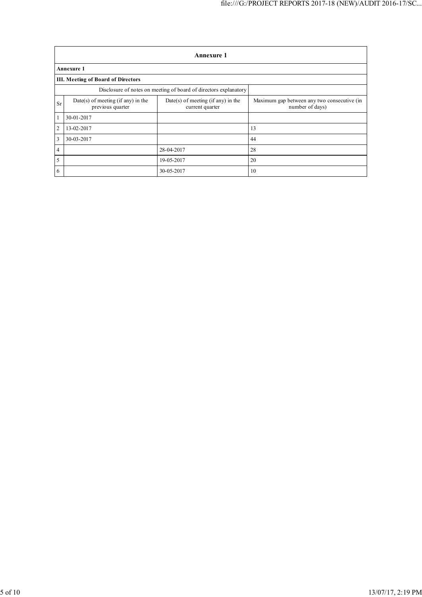|                | <b>Annexure 1</b>                                                |                                                       |                                                                |  |  |  |  |  |  |
|----------------|------------------------------------------------------------------|-------------------------------------------------------|----------------------------------------------------------------|--|--|--|--|--|--|
|                | <b>Annexure 1</b>                                                |                                                       |                                                                |  |  |  |  |  |  |
|                | <b>III. Meeting of Board of Directors</b>                        |                                                       |                                                                |  |  |  |  |  |  |
|                | Disclosure of notes on meeting of board of directors explanatory |                                                       |                                                                |  |  |  |  |  |  |
| Sr             | Date(s) of meeting (if any) in the<br>previous quarter           | Date(s) of meeting (if any) in the<br>current quarter | Maximum gap between any two consecutive (in<br>number of days) |  |  |  |  |  |  |
| $^{\circ}1$    | 30-01-2017                                                       |                                                       |                                                                |  |  |  |  |  |  |
| $\overline{2}$ | 13-02-2017                                                       |                                                       | 13                                                             |  |  |  |  |  |  |
| 3              | 30-03-2017                                                       |                                                       | 44                                                             |  |  |  |  |  |  |
| 4              |                                                                  | 28-04-2017                                            | 28                                                             |  |  |  |  |  |  |
| 5              |                                                                  | 19-05-2017                                            | 20                                                             |  |  |  |  |  |  |
| 6              |                                                                  | 30-05-2017                                            | 10                                                             |  |  |  |  |  |  |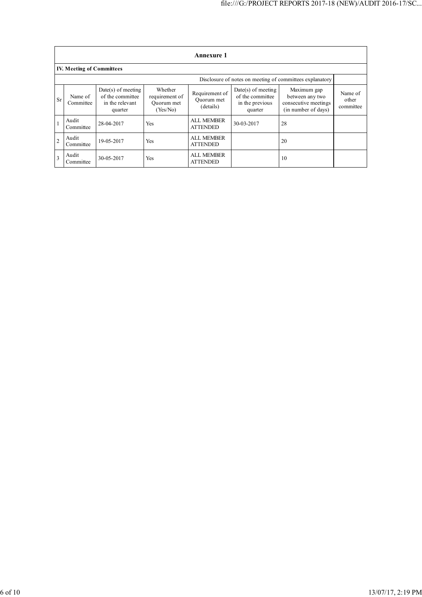|                | <b>Annexure 1</b>                                        |                                                                        |                                                     |                                           |                                                                        |                                                                               |                               |  |  |  |
|----------------|----------------------------------------------------------|------------------------------------------------------------------------|-----------------------------------------------------|-------------------------------------------|------------------------------------------------------------------------|-------------------------------------------------------------------------------|-------------------------------|--|--|--|
|                | <b>IV. Meeting of Committees</b>                         |                                                                        |                                                     |                                           |                                                                        |                                                                               |                               |  |  |  |
|                | Disclosure of notes on meeting of committees explanatory |                                                                        |                                                     |                                           |                                                                        |                                                                               |                               |  |  |  |
| Sr             | Name of<br>Committee                                     | $Date(s)$ of meeting<br>of the committee<br>in the relevant<br>quarter | Whether<br>requirement of<br>Quorum met<br>(Yes/No) | Requirement of<br>Ouorum met<br>(details) | $Date(s)$ of meeting<br>of the committee<br>in the previous<br>quarter | Maximum gap<br>between any two<br>consecutive meetings<br>(in number of days) | Name of<br>other<br>committee |  |  |  |
|                | Audit<br>Committee                                       | 28-04-2017                                                             | Yes                                                 | <b>ALL MEMBER</b><br><b>ATTENDED</b>      | 30-03-2017                                                             | 28                                                                            |                               |  |  |  |
| $\overline{2}$ | Audit<br>Committee                                       | 19-05-2017                                                             | Yes                                                 | <b>ALL MEMBER</b><br><b>ATTENDED</b>      |                                                                        | 20                                                                            |                               |  |  |  |
| $\mathbf{3}$   | Audit<br>Committee                                       | 30-05-2017                                                             | Yes                                                 | <b>ALL MEMBER</b><br><b>ATTENDED</b>      |                                                                        | 10                                                                            |                               |  |  |  |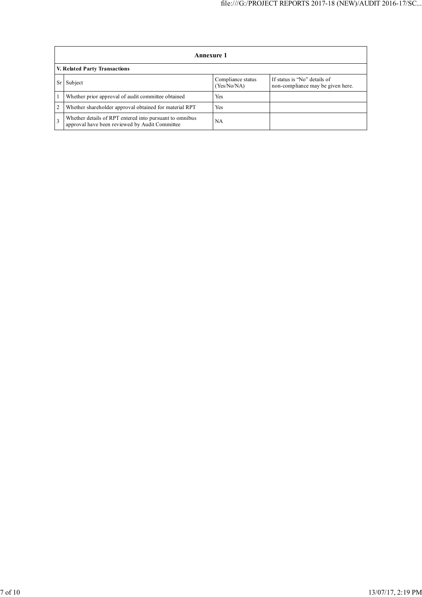|    | Annexure 1                                                                                                |                                  |                                                                   |  |  |  |  |  |
|----|-----------------------------------------------------------------------------------------------------------|----------------------------------|-------------------------------------------------------------------|--|--|--|--|--|
|    | V. Related Party Transactions                                                                             |                                  |                                                                   |  |  |  |  |  |
| Sr | Subject                                                                                                   | Compliance status<br>(Yes/No/NA) | If status is "No" details of<br>non-compliance may be given here. |  |  |  |  |  |
|    | Whether prior approval of audit committee obtained                                                        | Yes                              |                                                                   |  |  |  |  |  |
| 2  | Whether shareholder approval obtained for material RPT                                                    | Yes                              |                                                                   |  |  |  |  |  |
|    | Whether details of RPT entered into pursuant to omnibus<br>approval have been reviewed by Audit Committee | NA                               |                                                                   |  |  |  |  |  |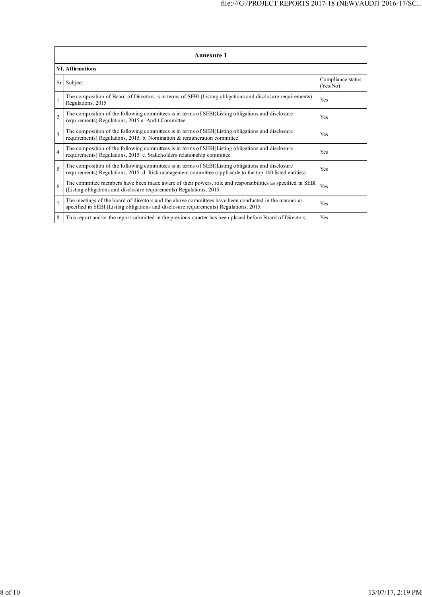|                         | <b>Annexure 1</b>                                                                                                                                                                                               |                               |  |  |  |  |
|-------------------------|-----------------------------------------------------------------------------------------------------------------------------------------------------------------------------------------------------------------|-------------------------------|--|--|--|--|
|                         | <b>VI.</b> Affirmations                                                                                                                                                                                         |                               |  |  |  |  |
| Sr                      | Subject                                                                                                                                                                                                         | Compliance status<br>(Yes/No) |  |  |  |  |
| $\mathbf{1}$            | The composition of Board of Directors is in terms of SEBI (Listing obligations and disclosure requirements)<br>Regulations, 2015                                                                                | Yes                           |  |  |  |  |
| $\overline{2}$          | The composition of the following committees is in terms of SEBI(Listing obligations and disclosure<br>requirements) Regulations, 2015 a. Audit Committee                                                        | Yes                           |  |  |  |  |
| $\overline{\mathbf{3}}$ | The composition of the following committees is in terms of SEBI(Listing obligations and disclosure<br>requirements) Regulations, 2015. b. Nomination & remuneration committee                                   | Yes                           |  |  |  |  |
| $\overline{4}$          | The composition of the following committees is in terms of SEBI(Listing obligations and disclosure<br>requirements) Regulations, 2015. c. Stakeholders relationship committee                                   | Yes                           |  |  |  |  |
| 5                       | The composition of the following committees is in terms of SEBI(Listing obligations and disclosure<br>requirements) Regulations, 2015. d. Risk management committee (applicable to the top 100 listed entities) | Yes                           |  |  |  |  |
| 6                       | The committee members have been made aware of their powers, role and responsibilities as specified in SEBI<br>(Listing obligations and disclosure requirements) Regulations, 2015.                              | Yes                           |  |  |  |  |
| $\overline{7}$          | The meetings of the board of directors and the above committees have been conducted in the manner as<br>specified in SEBI (Listing obligations and disclosure requirements) Regulations, 2015.                  | Yes                           |  |  |  |  |
| 8                       | This report and/or the report submitted in the previous quarter has been placed before Board of Directors.                                                                                                      | Yes                           |  |  |  |  |